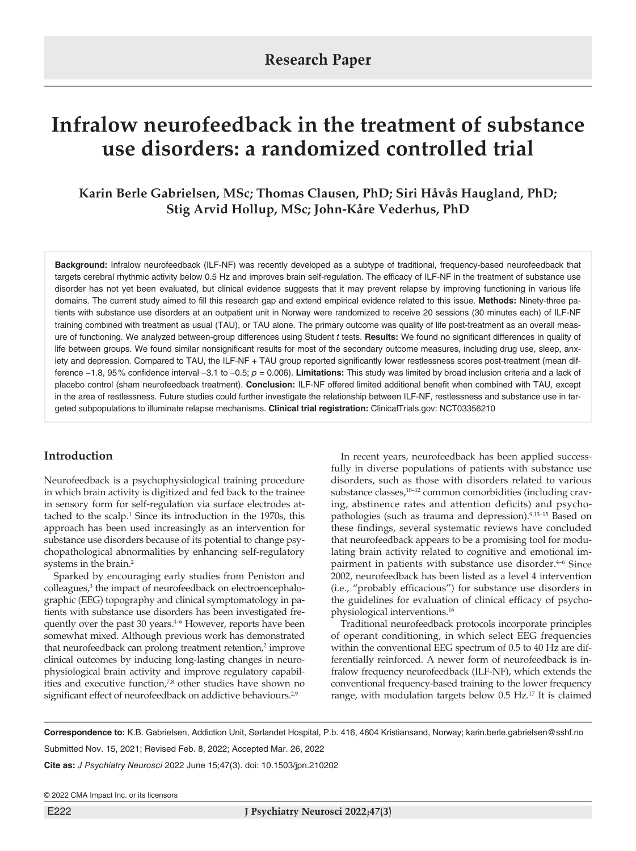# **Infralow neurofeedback in the treatment of substance use disorders: a randomized controlled trial**

**Karin Berle Gabrielsen, MSc; Thomas Clausen, PhD; Siri Håvås Haugland, PhD; Stig Arvid Hollup, MSc; John-Kåre Vederhus, PhD**

**Background:** Infralow neurofeedback (ILF-NF) was recently developed as a subtype of traditional, frequency-based neurofeedback that targets cerebral rhythmic activity below 0.5 Hz and improves brain self-regulation. The efficacy of ILF-NF in the treatment of substance use disorder has not yet been evaluated, but clinical evidence suggests that it may prevent relapse by improving functioning in various life domains. The current study aimed to fill this research gap and extend empirical evidence related to this issue. **Methods:** Ninety-three patients with substance use disorders at an outpatient unit in Norway were randomized to receive 20 sessions (30 minutes each) of ILF-NF training combined with treatment as usual (TAU), or TAU alone. The primary outcome was quality of life post-treatment as an overall measure of functioning. We analyzed between-group differences using Student *t* tests. **Results:** We found no significant differences in quality of life between groups. We found similar nonsignificant results for most of the secondary outcome measures, including drug use, sleep, anxiety and depression. Compared to TAU, the ILF-NF + TAU group reported significantly lower restlessness scores post-treatment (mean difference −1.8, 95% confidence interval –3.1 to –0.5; *p* = 0.006). **Limitations:** This study was limited by broad inclusion criteria and a lack of placebo control (sham neurofeedback treatment). **Conclusion:** ILF-NF offered limited additional benefit when combined with TAU, except in the area of restlessness. Future studies could further investigate the relationship between ILF-NF, restlessness and substance use in targeted subpopulations to illuminate relapse mechanisms. **Clinical trial registration:** ClinicalTrials.gov: NCT03356210

# **Introduction**

Neurofeedback is a psychophysiological training procedure in which brain activity is digitized and fed back to the trainee in sensory form for self-regulation via surface electrodes attached to the scalp.<sup>1</sup> Since its introduction in the 1970s, this approach has been used increasingly as an intervention for substance use disorders because of its potential to change psychopathological abnormalities by enhancing self-regulatory systems in the brain.<sup>2</sup>

Sparked by encouraging early studies from Peniston and colleagues,<sup>3</sup> the impact of neurofeedback on electroencephalographic (EEG) topography and clinical symptomatology in patients with substance use disorders has been investigated frequently over the past 30 years.<sup>4-6</sup> However, reports have been somewhat mixed. Although previous work has demonstrated that neurofeedback can prolong treatment retention,<sup>2</sup> improve clinical outcomes by inducing long-lasting changes in neurophysiological brain activity and improve regulatory capabilities and executive function,<sup>7,8</sup> other studies have shown no significant effect of neurofeedback on addictive behaviours.<sup>2,9</sup>

In recent years, neurofeedback has been applied successfully in diverse populations of patients with substance use disorders, such as those with disorders related to various substance classes,<sup>10–12</sup> common comorbidities (including craving, abstinence rates and attention deficits) and psychopathologies (such as trauma and depression).<sup>9,13-15</sup> Based on these findings, several systematic reviews have concluded that neurofeedback appears to be a promising tool for modulating brain activity related to cognitive and emotional impairment in patients with substance use disorder.<sup>4-6</sup> Since 2002, neurofeedback has been listed as a level 4 intervention (i.e., "probably efficacious") for substance use disorders in the guidelines for evaluation of clinical efficacy of psychophysiological interventions.16

Traditional neurofeedback protocols incorporate principles of operant conditioning, in which select EEG frequencies within the conventional EEG spectrum of 0.5 to 40 Hz are differentially reinforced. A newer form of neurofeedback is infralow frequency neurofeedback (ILF-NF), which extends the conventional frequency-based training to the lower frequency range, with modulation targets below 0.5 Hz.<sup>17</sup> It is claimed

**Correspondence to:** K.B. Gabrielsen, Addiction Unit, Sørlandet Hospital, P.b. 416, 4604 Kristiansand, Norway; karin.berle.gabrielsen@sshf.no

Submitted Nov. 15, 2021; Revised Feb. 8, 2022; Accepted Mar. 26, 2022

**Cite as:** *J Psychiatry Neurosci* 2022 June 15;47(3). doi: 10.1503/jpn.210202

© 2022 CMA Impact Inc. or its licensors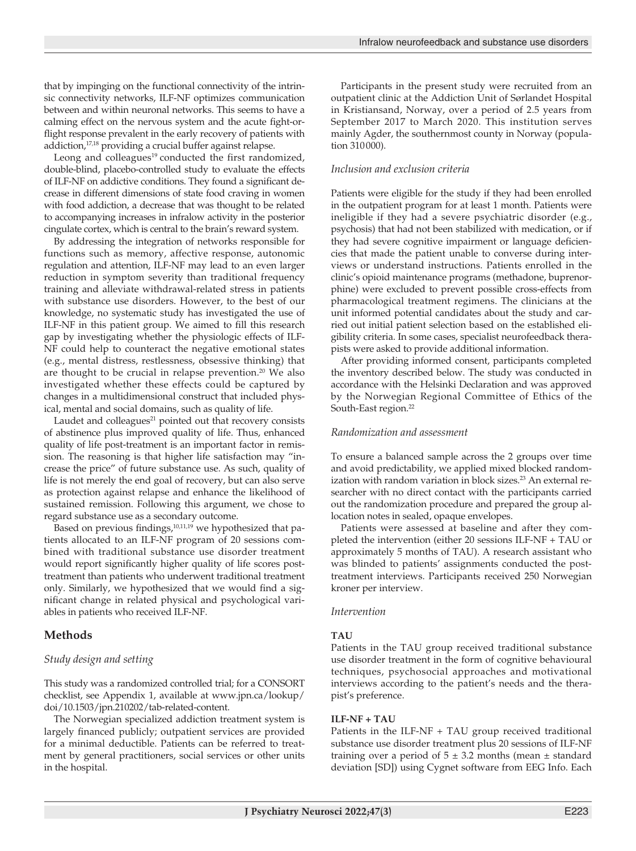that by impinging on the functional connectivity of the intrinsic connectivity networks, ILF-NF optimizes communication between and within neuronal networks. This seems to have a calming effect on the nervous system and the acute fight-orflight response prevalent in the early recovery of patients with addiction,<sup>17,18</sup> providing a crucial buffer against relapse.

Leong and colleagues<sup>19</sup> conducted the first randomized, double-blind, placebo-controlled study to evaluate the effects of ILF-NF on addictive conditions. They found a significant decrease in different dimensions of state food craving in women with food addiction, a decrease that was thought to be related to accompanying increases in infralow activity in the posterior cingulate cortex, which is central to the brain's reward system.

By addressing the integration of networks responsible for functions such as memory, affective response, autonomic regulation and attention, ILF-NF may lead to an even larger reduction in symptom severity than traditional frequency training and alleviate withdrawal-related stress in patients with substance use disorders. However, to the best of our knowledge, no systematic study has investigated the use of ILF-NF in this patient group. We aimed to fill this research gap by investigating whether the physiologic effects of ILF-NF could help to counteract the negative emotional states (e.g., mental distress, restlessness, obsessive thinking) that are thought to be crucial in relapse prevention.<sup>20</sup> We also investigated whether these effects could be captured by changes in a multidimensional construct that included physical, mental and social domains, such as quality of life.

Laudet and colleagues<sup>21</sup> pointed out that recovery consists of abstinence plus improved quality of life. Thus, enhanced quality of life post-treatment is an important factor in remission. The reasoning is that higher life satisfaction may "increase the price" of future substance use. As such, quality of life is not merely the end goal of recovery, but can also serve as protection against relapse and enhance the likelihood of sustained remission. Following this argument, we chose to regard substance use as a secondary outcome.

Based on previous findings,<sup>10,11,19</sup> we hypothesized that patients allocated to an ILF-NF program of 20 sessions combined with traditional substance use disorder treatment would report significantly higher quality of life scores posttreatment than patients who underwent traditional treatment only. Similarly, we hypothesized that we would find a significant change in related physical and psychological variables in patients who received ILF-NF.

# **Methods**

# *Study design and setting*

This study was a randomized controlled trial; for a CONSORT checklist, see Appendix 1, available at www.jpn.ca/lookup/ doi/10.1503/jpn.210202/tab-related-content.

The Norwegian specialized addiction treatment system is largely financed publicly; outpatient services are provided for a minimal deductible. Patients can be referred to treatment by general practitioners, social services or other units in the hospital.

Participants in the present study were recruited from an outpatient clinic at the Addiction Unit of Sørlandet Hospital in Kristiansand, Norway, over a period of 2.5 years from September 2017 to March 2020. This institution serves mainly Agder, the southernmost county in Norway (population 310000).

# *Inclusion and exclusion criteria*

Patients were eligible for the study if they had been enrolled in the outpatient program for at least 1 month. Patients were ineligible if they had a severe psychiatric disorder (e.g., psychosis) that had not been stabilized with medication, or if they had severe cognitive impairment or language deficiencies that made the patient unable to converse during interviews or understand instructions. Patients enrolled in the clinic's opioid maintenance programs (methadone, buprenorphine) were excluded to prevent possible cross-effects from pharmacological treatment regimens. The clinicians at the unit informed potential candidates about the study and carried out initial patient selection based on the established eligibility criteria. In some cases, specialist neurofeedback therapists were asked to provide additional information.

After providing informed consent, participants completed the inventory described below. The study was conducted in accordance with the Helsinki Declaration and was approved by the Norwegian Regional Committee of Ethics of the South-East region.<sup>22</sup>

# *Randomization and assessment*

To ensure a balanced sample across the 2 groups over time and avoid predictability, we applied mixed blocked randomization with random variation in block sizes.<sup>23</sup> An external researcher with no direct contact with the participants carried out the randomization procedure and prepared the group allocation notes in sealed, opaque envelopes.

Patients were assessed at baseline and after they completed the intervention (either 20 sessions ILF-NF + TAU or approximately 5 months of TAU). A research assistant who was blinded to patients' assignments conducted the posttreatment interviews. Participants received 250 Norwegian kroner per interview.

#### *Intervention*

# **TAU**

Patients in the TAU group received traditional substance use disorder treatment in the form of cognitive behavioural techniques, psychosocial approaches and motivational interviews according to the patient's needs and the therapist's preference.

#### **ILF-NF + TAU**

Patients in the ILF-NF + TAU group received traditional substance use disorder treatment plus 20 sessions of ILF-NF training over a period of  $5 \pm 3.2$  months (mean  $\pm$  standard deviation [SD]) using Cygnet software from EEG Info. Each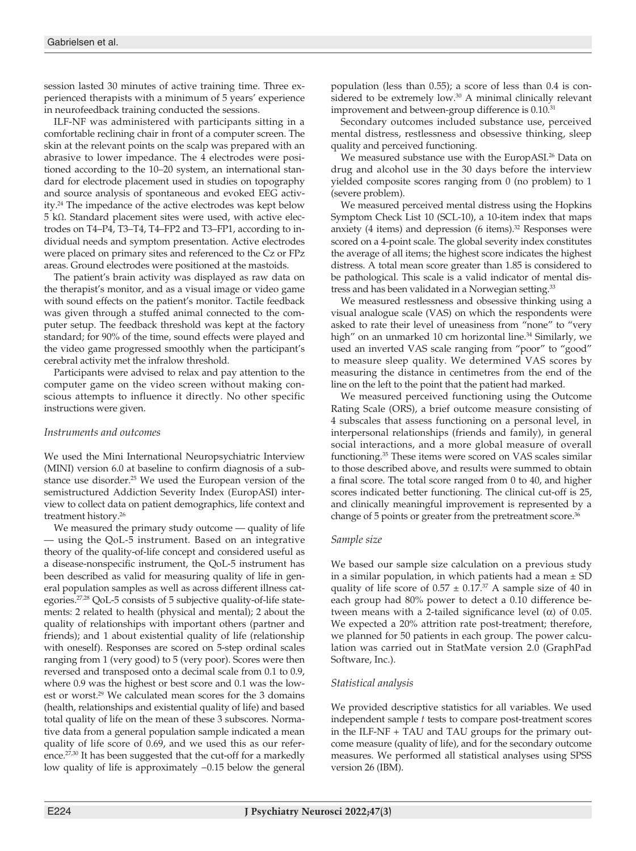session lasted 30 minutes of active training time. Three experienced therapists with a minimum of 5 years' experience in neurofeedback training conducted the sessions.

ILF-NF was administered with participants sitting in a comfortable reclining chair in front of a computer screen. The skin at the relevant points on the scalp was prepared with an abrasive to lower impedance. The 4 electrodes were positioned according to the 10–20 system, an international standard for electrode placement used in studies on topography and source analysis of spontaneous and evoked EEG activity.24 The impedance of the active electrodes was kept below 5 kΩ. Standard placement sites were used, with active electrodes on T4–P4, T3–T4, T4–FP2 and T3–FP1, according to individual needs and symptom presentation. Active electrodes were placed on primary sites and referenced to the Cz or FPz areas. Ground electrodes were positioned at the mastoids.

The patient's brain activity was displayed as raw data on the therapist's monitor, and as a visual image or video game with sound effects on the patient's monitor. Tactile feedback was given through a stuffed animal connected to the computer setup. The feedback threshold was kept at the factory standard; for 90% of the time, sound effects were played and the video game progressed smoothly when the participant's cerebral activity met the infralow threshold.

Participants were advised to relax and pay attention to the computer game on the video screen without making conscious attempts to influence it directly. No other specific instructions were given.

# *Instruments and outcomes*

We used the Mini International Neuropsychiatric Interview (MINI) version 6.0 at baseline to confirm diagnosis of a substance use disorder.25 We used the European version of the semistructured Addiction Severity Index (EuropASI) interview to collect data on patient demographics, life context and treatment history.26

We measured the primary study outcome — quality of life — using the QoL-5 instrument. Based on an integrative theory of the quality-of-life concept and considered useful as a disease-nonspecific instrument, the QoL-5 instrument has been described as valid for measuring quality of life in general population samples as well as across different illness categories.<sup>27,28</sup> QoL-5 consists of 5 subjective quality-of-life statements: 2 related to health (physical and mental); 2 about the quality of relationships with important others (partner and friends); and 1 about existential quality of life (relationship with oneself). Responses are scored on 5-step ordinal scales ranging from 1 (very good) to 5 (very poor). Scores were then reversed and transposed onto a decimal scale from 0.1 to 0.9, where 0.9 was the highest or best score and 0.1 was the lowest or worst.<sup>29</sup> We calculated mean scores for the 3 domains (health, relationships and existential quality of life) and based total quality of life on the mean of these 3 subscores. Normative data from a general population sample indicated a mean quality of life score of 0.69, and we used this as our reference.<sup>27,30</sup> It has been suggested that the cut-off for a markedly low quality of life is approximately −0.15 below the general

population (less than 0.55); a score of less than 0.4 is considered to be extremely low.30 A minimal clinically relevant improvement and between-group difference is 0.10.<sup>31</sup>

Secondary outcomes included substance use, perceived mental distress, restlessness and obsessive thinking, sleep quality and perceived functioning.

We measured substance use with the EuropASI.<sup>26</sup> Data on drug and alcohol use in the 30 days before the interview yielded composite scores ranging from 0 (no problem) to 1 (severe problem).

We measured perceived mental distress using the Hopkins Symptom Check List 10 (SCL-10), a 10-item index that maps anxiety (4 items) and depression (6 items). $32$  Responses were scored on a 4-point scale. The global severity index constitutes the average of all items; the highest score indicates the highest distress. A total mean score greater than 1.85 is considered to be pathological. This scale is a valid indicator of mental distress and has been validated in a Norwegian setting.<sup>33</sup>

We measured restlessness and obsessive thinking using a visual analogue scale (VAS) on which the respondents were asked to rate their level of uneasiness from "none" to "very high" on an unmarked 10 cm horizontal line.<sup>34</sup> Similarly, we used an inverted VAS scale ranging from "poor" to "good" to measure sleep quality. We determined VAS scores by measuring the distance in centimetres from the end of the line on the left to the point that the patient had marked.

We measured perceived functioning using the Outcome Rating Scale (ORS), a brief outcome measure consisting of 4 subscales that assess functioning on a personal level, in interpersonal relationships (friends and family), in general social interactions, and a more global measure of overall functioning.35 These items were scored on VAS scales similar to those described above, and results were summed to obtain a final score. The total score ranged from 0 to 40, and higher scores indicated better functioning. The clinical cut-off is 25, and clinically meaningful improvement is represented by a change of 5 points or greater from the pretreatment score.<sup>36</sup>

#### *Sample size*

We based our sample size calculation on a previous study in a similar population, in which patients had a mean  $\pm$  SD quality of life score of  $0.57 \pm 0.17$ .<sup>37</sup> A sample size of 40 in each group had 80% power to detect a 0.10 difference between means with a 2-tailed significance level (α) of 0.05. We expected a 20% attrition rate post-treatment; therefore, we planned for 50 patients in each group. The power calculation was carried out in StatMate version 2.0 (GraphPad Software, Inc.).

# *Statistical analysis*

We provided descriptive statistics for all variables. We used independent sample *t* tests to compare post-treatment scores in the ILF-NF + TAU and TAU groups for the primary outcome measure (quality of life), and for the secondary outcome measures. We performed all statistical analyses using SPSS version 26 (IBM).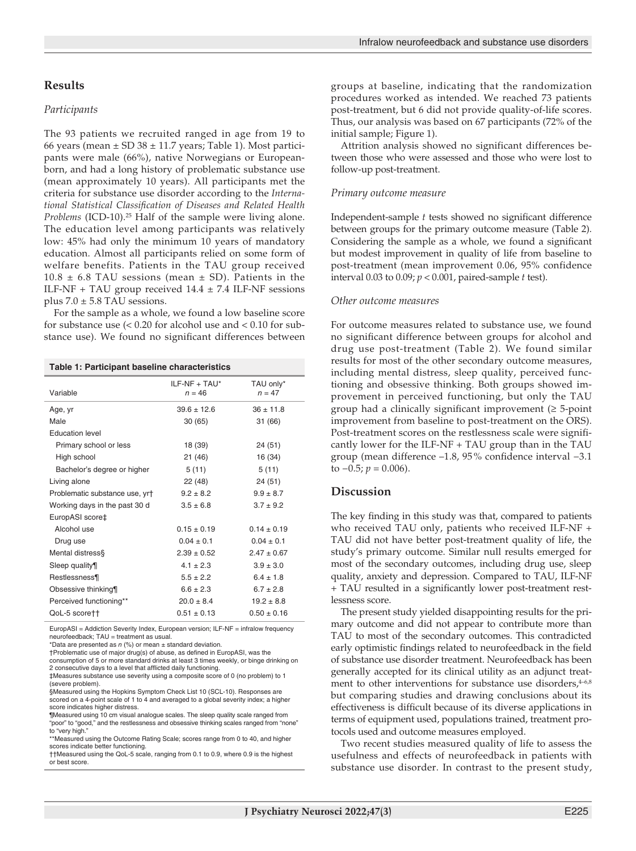#### **Results**

#### *Participants*

The 93 patients we recruited ranged in age from 19 to 66 years (mean  $\pm$  SD 38  $\pm$  11.7 years; Table 1). Most participants were male (66%), native Norwegians or Europeanborn, and had a long history of problematic substance use (mean approximately 10 years). All participants met the criteria for substance use disorder according to the *International Statistical Classification of Diseases and Related Health Problems* (ICD-10).25 Half of the sample were living alone. The education level among participants was relatively low: 45% had only the minimum 10 years of mandatory education. Almost all participants relied on some form of welfare benefits. Patients in the TAU group received  $10.8 \pm 6.8$  TAU sessions (mean  $\pm$  SD). Patients in the ILF-NF + TAU group received  $14.4 \pm 7.4$  ILF-NF sessions plus  $7.0 \pm 5.8$  TAU sessions.

For the sample as a whole, we found a low baseline score for substance use (< 0.20 for alcohol use and < 0.10 for substance use). We found no significant differences between

**Table 1: Participant baseline characteristics**

| Variable                       | $ILF-NF + TAU*$<br>$n = 46$ | TAU only*<br>$n = 47$ |
|--------------------------------|-----------------------------|-----------------------|
| Age, yr                        | $39.6 \pm 12.6$             | $36 \pm 11.8$         |
| Male                           | 30(65)                      | 31 (66)               |
| <b>Education level</b>         |                             |                       |
| Primary school or less         | 18 (39)                     | 24 (51)               |
| High school                    | 21(46)                      | 16 (34)               |
| Bachelor's degree or higher    | 5(11)                       | 5(11)                 |
| Living alone                   | 22 (48)                     | 24(51)                |
| Problematic substance use, yr† | $9.2 \pm 8.2$               | $9.9 \pm 8.7$         |
| Working days in the past 30 d  | $3.5 \pm 6.8$               | $3.7 \pm 9.2$         |
| EuropASI score‡                |                             |                       |
| Alcohol use                    | $0.15 \pm 0.19$             | $0.14 \pm 0.19$       |
| Drug use                       | $0.04 \pm 0.1$              | $0.04 \pm 0.1$        |
| Mental distress§               | $2.39 \pm 0.52$             | $2.47 \pm 0.67$       |
| Sleep quality¶                 | $4.1 \pm 2.3$               | $3.9 \pm 3.0$         |
| Restlessness¶                  | $5.5 \pm 2.2$               | $6.4 \pm 1.8$         |
| Obsessive thinking¶            | $6.6 \pm 2.3$               | $6.7 \pm 2.8$         |
| Perceived functioning**        | $20.0 \pm 8.4$              | $19.2 \pm 8.8$        |
| QoL-5 scorett                  | $0.51 \pm 0.13$             | $0.50 \pm 0.16$       |

EuropASI = Addiction Severity Index, European version; ILF-NF = infralow frequency neurofeedback; TAU = treatment as usual.

\*Data are presented as *n* (%) or mean ± standard deviation.

†Problematic use of major drug(s) of abuse, as defined in EuropASI, was the consumption of 5 or more standard drinks at least 3 times weekly, or binge drinking on 2 consecutive days to a level that afflicted daily functioning.

‡Measures substance use severity using a composite score of 0 (no problem) to 1 (severe problem).

§Measured using the Hopkins Symptom Check List 10 (SCL-10). Responses are scored on a 4-point scale of 1 to 4 and averaged to a global severity index; a higher score indicates higher distress.

¶Measured using 10 cm visual analogue scales. The sleep quality scale ranged from "poor" to "good," and the restlessness and obsessive thinking scales ranged from "none" to "very high."

\*\*Measured using the Outcome Rating Scale; scores range from 0 to 40, and higher scores indicate better functioning. ††Measured using the QoL-5 scale, ranging from 0.1 to 0.9, where 0.9 is the highest

or best score.

groups at baseline, indicating that the randomization procedures worked as intended. We reached 73 patients post-treatment, but 6 did not provide quality-of-life scores. Thus, our analysis was based on 67 participants (72% of the initial sample; Figure 1).

Attrition analysis showed no significant differences between those who were assessed and those who were lost to follow-up post-treatment.

#### *Primary outcome measure*

Independent-sample *t* tests showed no significant difference between groups for the primary outcome measure (Table 2). Considering the sample as a whole, we found a significant but modest improvement in quality of life from baseline to post-treatment (mean improvement 0.06, 95% confidence interval 0.03 to 0.09; *p* < 0.001, paired-sample *t* test).

#### *Other outcome measures*

For outcome measures related to substance use, we found no significant difference between groups for alcohol and drug use post-treatment (Table 2). We found similar results for most of the other secondary outcome measures, including mental distress, sleep quality, perceived functioning and obsessive thinking. Both groups showed improvement in perceived functioning, but only the TAU group had a clinically significant improvement  $(≥ 5$ -point improvement from baseline to post-treatment on the ORS). Post-treatment scores on the restlessness scale were significantly lower for the ILF-NF + TAU group than in the TAU group (mean difference –1.8, 95 % confidence interval −3.1 to  $-0.5$ ;  $p = 0.006$ ).

#### **Discussion**

The key finding in this study was that, compared to patients who received TAU only, patients who received ILF-NF + TAU did not have better post-treatment quality of life, the study's primary outcome. Similar null results emerged for most of the secondary outcomes, including drug use, sleep quality, anxiety and depression. Compared to TAU, ILF-NF + TAU resulted in a significantly lower post-treatment restlessness score.

The present study yielded disappointing results for the primary outcome and did not appear to contribute more than TAU to most of the secondary outcomes. This contradicted early optimistic findings related to neurofeedback in the field of substance use disorder treatment. Neurofeedback has been generally accepted for its clinical utility as an adjunct treatment to other interventions for substance use disorders,  $4-6,8$ but comparing studies and drawing conclusions about its effectiveness is difficult because of its diverse applications in terms of equipment used, populations trained, treatment protocols used and outcome measures employed.

Two recent studies measured quality of life to assess the usefulness and effects of neurofeedback in patients with substance use disorder. In contrast to the present study,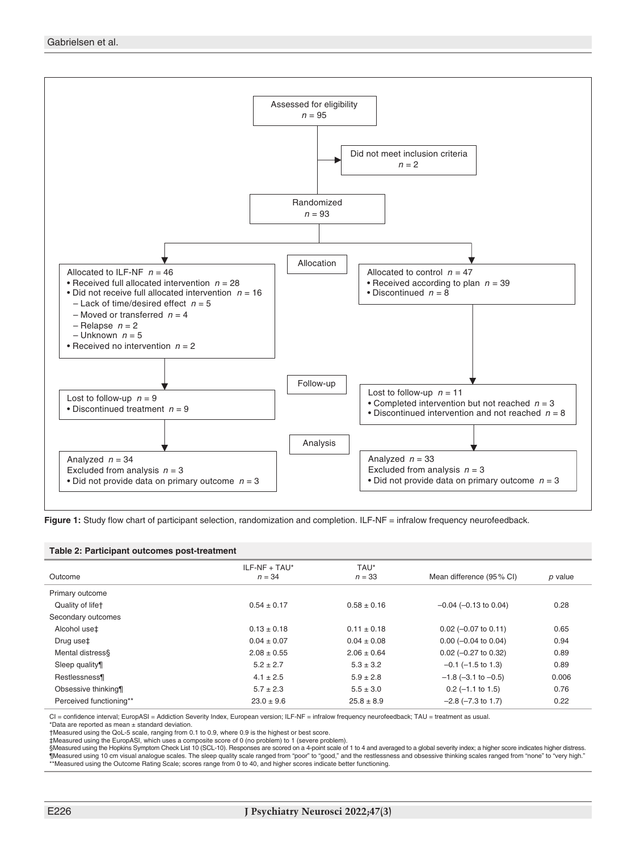

Figure 1: Study flow chart of participant selection, randomization and completion. ILF-NF = infralow frequency neurofeedback.

#### **Table 2: Participant outcomes post-treatment**

| Outcome                      | $ILF-NF + TAU^*$<br>$n = 34$ | TAU*<br>$n = 33$ | Mean difference (95% CI)    | p value |
|------------------------------|------------------------------|------------------|-----------------------------|---------|
| Primary outcome              |                              |                  |                             |         |
| Quality of life <sup>+</sup> | $0.54 \pm 0.17$              | $0.58 \pm 0.16$  | $-0.04$ ( $-0.13$ to 0.04)  | 0.28    |
| Secondary outcomes           |                              |                  |                             |         |
| Alcohol use‡                 | $0.13 \pm 0.18$              | $0.11 \pm 0.18$  | $0.02$ (-0.07 to 0.11)      | 0.65    |
| Drug use‡                    | $0.04 \pm 0.07$              | $0.04 \pm 0.08$  | $0.00$ (-0.04 to 0.04)      | 0.94    |
| Mental distress§             | $2.08 \pm 0.55$              | $2.06 \pm 0.64$  | $0.02$ (-0.27 to 0.32)      | 0.89    |
| Sleep quality¶               | $5.2 \pm 2.7$                | $5.3 \pm 3.2$    | $-0.1$ ( $-1.5$ to 1.3)     | 0.89    |
| Restlessness¶                | $4.1 \pm 2.5$                | $5.9 \pm 2.8$    | $-1.8$ ( $-3.1$ to $-0.5$ ) | 0.006   |
| Obsessive thinking¶          | $5.7 \pm 2.3$                | $5.5 \pm 3.0$    | $0.2$ (-1.1 to 1.5)         | 0.76    |
| Perceived functioning**      | $23.0 \pm 9.6$               | $25.8 \pm 8.9$   | $-2.8$ ( $-7.3$ to 1.7)     | 0.22    |

CI = confidence interval; EuropASI = Addiction Severity Index, European version; ILF-NF = infralow frequency neurofeedback; TAU = treatment as usual.

\*Data are reported as mean ± standard deviation.

†Measured using the QoL-5 scale, ranging from 0.1 to 0.9, where 0.9 is the highest or best score. ‡Measured using the EuropASI, which uses a composite score of 0 (no problem) to 1 (severe problem).

§Measured using the Hopkins Symptom Check List 10 (SCL-10). Responses are scored on a 4-point scale of 1 to 4 and averaged to a global severity index; a higher score indicates higher distress. ¶Measured using 10 cm visual analogue scales. The sleep quality scale ranged from "poor" to "good," and the restlessness and obsessive thinking scales ranged from "none" to "very high."<br>\*\*Measured using the Outcome Rating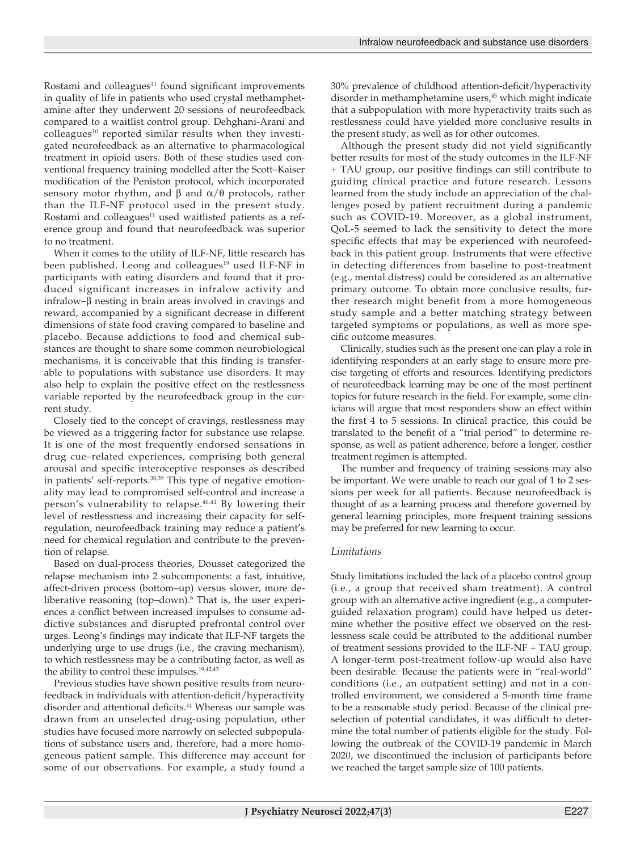Rostami and colleagues $11$  found significant improvements in quality of life in patients who used crystal methamphetamine after they underwent 20 sessions of neurofeedback compared to a waitlist control group. Dehghani-Arani and  $\text{colleagues}^{10}$  reported similar results when they investigated neurofeedback as an alternative to pharmacological treatment in opioid users. Both of these studies used conventional frequency training modelled after the Scott–Kaiser modification of the Peniston protocol, which incorporated sensory motor rhythm, and  $β$  and  $α/θ$  protocols, rather than the ILF-NF protocol used in the present study. Rostami and colleagues $11$  used waitlisted patients as a reference group and found that neurofeedback was superior to no treatment.

When it comes to the utility of ILF-NF, little research has been published. Leong and colleagues<sup>19</sup> used ILF-NF in participants with eating disorders and found that it produced significant increases in infralow activity and infralow–β nesting in brain areas involved in cravings and reward, accompanied by a significant decrease in different dimensions of state food craving compared to baseline and placebo. Because addictions to food and chemical substances are thought to share some common neurobiological mechanisms, it is conceivable that this finding is transferable to populations with substance use disorders. It may also help to explain the positive effect on the restlessness variable reported by the neurofeedback group in the current study.

Closely tied to the concept of cravings, restlessness may be viewed as a triggering factor for substance use relapse. It is one of the most frequently endorsed sensations in drug cue–related experiences, comprising both general arousal and specific interoceptive responses as described in patients' self-reports.38,39 This type of negative emotionality may lead to compromised self-control and increase a person's vulnerability to relapse. $40,41$  By lowering their level of restlessness and increasing their capacity for selfregulation, neurofeedback training may reduce a patient's need for chemical regulation and contribute to the prevention of relapse.

Based on dual-process theories, Dousset categorized the relapse mechanism into 2 subcomponents: a fast, intuitive, affect-driven process (bottom–up) versus slower, more deliberative reasoning (top-down).<sup>6</sup> That is, the user experiences a conflict between increased impulses to consume addictive substances and disrupted prefrontal control over urges. Leong's findings may indicate that ILF-NF targets the underlying urge to use drugs (i.e., the craving mechanism), to which restlessness may be a contributing factor, as well as the ability to control these impulses.<sup>19,42,43</sup>

Previous studies have shown positive results from neurofeedback in individuals with attention-deficit/hyperactivity disorder and attentional deficits.<sup>44</sup> Whereas our sample was drawn from an unselected drug-using population, other studies have focused more narrowly on selected subpopulations of substance users and, therefore, had a more homogeneous patient sample. This difference may account for some of our observations. For example, a study found a

30% prevalence of childhood attention-deficit/hyperactivity disorder in methamphetamine users,<sup>45</sup> which might indicate that a subpopulation with more hyperactivity traits such as restlessness could have yielded more conclusive results in the present study, as well as for other outcomes.

Although the present study did not yield significantly better results for most of the study outcomes in the ILF-NF + TAU group, our positive findings can still contribute to guiding clinical practice and future research. Lessons learned from the study include an appreciation of the challenges posed by patient recruitment during a pandemic such as COVID-19. Moreover, as a global instrument, QoL-5 seemed to lack the sensitivity to detect the more specific effects that may be experienced with neurofeedback in this patient group. Instruments that were effective in detecting differences from baseline to post-treatment (e.g., mental distress) could be considered as an alternative primary outcome. To obtain more conclusive results, further research might benefit from a more homogeneous study sample and a better matching strategy between targeted symptoms or populations, as well as more specific outcome measures.

Clinically, studies such as the present one can play a role in identifying responders at an early stage to ensure more precise targeting of efforts and resources. Identifying predictors of neurofeedback learning may be one of the most pertinent topics for future research in the field. For example, some clinicians will argue that most responders show an effect within the first 4 to 5 sessions. In clinical practice, this could be translated to the benefit of a "trial period" to determine response, as well as patient adherence, before a longer, costlier treatment regimen is attempted.

The number and frequency of training sessions may also be important. We were unable to reach our goal of 1 to 2 sessions per week for all patients. Because neurofeedback is thought of as a learning process and therefore governed by general learning principles, more frequent training sessions may be preferred for new learning to occur.

# *Limitations*

Study limitations included the lack of a placebo control group (i.e., a group that received sham treatment). A control group with an alternative active ingredient (e.g., a computerguided relaxation program) could have helped us determine whether the positive effect we observed on the restlessness scale could be attributed to the additional number of treatment sessions provided to the ILF-NF + TAU group. A longer-term post-treatment follow-up would also have been desirable. Because the patients were in "real-world" conditions (i.e., an outpatient setting) and not in a controlled environment, we considered a 5-month time frame to be a reasonable study period. Because of the clinical preselection of potential candidates, it was difficult to determine the total number of patients eligible for the study. Following the outbreak of the COVID-19 pandemic in March 2020, we discontinued the inclusion of participants before we reached the target sample size of 100 patients.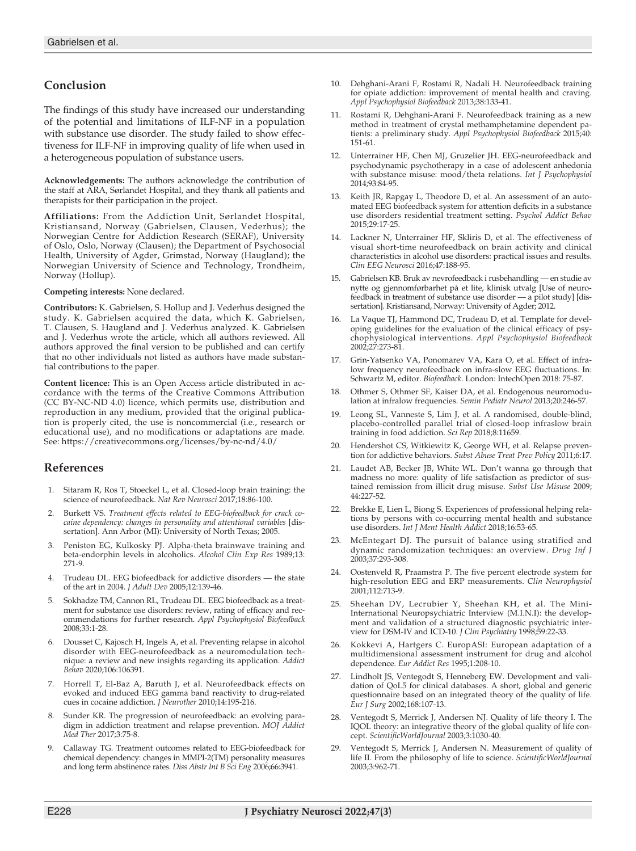# **Conclusion**

The findings of this study have increased our understanding of the potential and limitations of ILF-NF in a population with substance use disorder. The study failed to show effectiveness for ILF-NF in improving quality of life when used in a heterogeneous population of substance users.

**Acknowledgements:** The authors acknowledge the contribution of the staff at ARA, Sørlandet Hospital, and they thank all patients and therapists for their participation in the project.

**Affiliations:** From the Addiction Unit, Sørlandet Hospital, Kristiansand, Norway (Gabrielsen, Clausen, Vederhus); the Norwegian Centre for Addiction Research (SERAF), University of Oslo, Oslo, Norway (Clausen); the Department of Psychosocial Health, University of Agder, Grimstad, Norway (Haugland); the Norwegian University of Science and Technology, Trondheim, Norway (Hollup).

**Competing interests:** None declared.

**Contributors:** K. Gabrielsen, S. Hollup and J. Vederhus designed the study. K. Gabrielsen acquired the data, which K. Gabrielsen, T. Clausen, S. Haugland and J. Vederhus analyzed. K. Gabrielsen and J. Vederhus wrote the article, which all authors reviewed. All authors approved the final version to be published and can certify that no other individuals not listed as authors have made substantial contributions to the paper.

**Content licence:** This is an Open Access article distributed in accordance with the terms of the Creative Commons Attribution (CC BY-NC-ND 4.0) licence, which permits use, distribution and reproduction in any medium, provided that the original publication is properly cited, the use is noncommercial (i.e., research or educational use), and no modifications or adaptations are made. See: https://creativecommons.org/licenses/by-nc-nd/4.0/

# **References**

- 1. Sitaram R, Ros T, Stoeckel L, et al. Closed-loop brain training: the science of neurofeedback. *Nat Rev Neurosci* 2017;18:86-100.
- 2. Burkett VS. *Treatment effects related to EEG-biofeedback for crack cocaine dependency: changes in personality and attentional variables* [dissertation]. Ann Arbor (MI): University of North Texas; 2005.
- 3. Peniston EG, Kulkosky PJ. Alpha-theta brainwave training and beta-endorphin levels in alcoholics. *Alcohol Clin Exp Res* 1989;13: 271-9.
- 4. Trudeau DL. EEG biofeedback for addictive disorders the state of the art in 2004. *J Adult Dev* 2005;12:139-46.
- 5. Sokhadze TM, Cannon RL, Trudeau DL. EEG biofeedback as a treatment for substance use disorders: review, rating of efficacy and recommendations for further research. *Appl Psychophysiol Biofeedback* 2008;33:1-28.
- 6. Dousset C, Kajosch H, Ingels A, et al. Preventing relapse in alcohol disorder with EEG-neurofeedback as a neuromodulation technique: a review and new insights regarding its application. *Addict Behav* 2020;106:106391.
- 7. Horrell T, El-Baz A, Baruth J, et al. Neurofeedback effects on evoked and induced EEG gamma band reactivity to drug-related cues in cocaine addiction. *J Neurother* 2010;14:195-216.
- 8. Sunder KR. The progression of neurofeedback: an evolving paradigm in addiction treatment and relapse prevention. *MOJ Addict Med Ther* 2017;3:75-8.
- 9. Callaway TG. Treatment outcomes related to EEG-biofeedback for chemical dependency: changes in MMPI-2(TM) personality measures and long term abstinence rates. *Diss Abstr Int B Sci Eng* 2006;66:3941.
- 10. Dehghani-Arani F, Rostami R, Nadali H. Neurofeedback training for opiate addiction: improvement of mental health and craving. *Appl Psychophysiol Biofeedback* 2013;38:133-41.
- 11. Rostami R, Dehghani-Arani F. Neurofeedback training as a new method in treatment of crystal methamphetamine dependent patients: a preliminary study. *Appl Psychophysiol Biofeedback* 2015;40: 151-61.
- 12. Unterrainer HF, Chen MJ, Gruzelier JH. EEG-neurofeedback and psychodynamic psychotherapy in a case of adolescent anhedonia with substance misuse: mood/theta relations. *Int J Psychophysiol* 2014;93:84-95.
- 13. Keith JR, Rapgay L, Theodore D, et al. An assessment of an automated EEG biofeedback system for attention deficits in a substance use disorders residential treatment setting. *Psychol Addict Behav* 2015;29:17-25.
- 14. Lackner N, Unterrainer HF, Skliris D, et al. The effectiveness of visual short-time neurofeedback on brain activity and clinical characteristics in alcohol use disorders: practical issues and results. *Clin EEG Neurosci* 2016;47:188-95.
- 15. Gabrielsen KB. Bruk av nevrofeedback i rusbehandling en studie av nytte og gjennomførbarhet på et lite, klinisk utvalg [Use of neurofeedback in treatment of substance use disorder — a pilot study] [dissertation]. Kristiansand, Norway: University of Agder; 2012.
- 16. La Vaque TJ, Hammond DC, Trudeau D, et al. Template for developing guidelines for the evaluation of the clinical efficacy of psychophysiological interventions. *Appl Psychophysiol Biofeedback* 2002;27:273-81.
- Grin-Yatsenko VA, Ponomarev VA, Kara O, et al. Effect of infralow frequency neurofeedback on infra-slow EEG fluctuations. In: Schwartz M, editor. *Biofeedback*. London: IntechOpen 2018: 75-87.
- 18. Othmer S, Othmer SF, Kaiser DA, et al. Endogenous neuromodulation at infralow frequencies. *Semin Pediatr Neurol* 2013;20:246-57.
- 19. Leong SL, Vanneste S, Lim J, et al. A randomised, double-blind, placebo-controlled parallel trial of closed-loop infraslow brain training in food addiction. *Sci Rep* 2018;8:11659.
- 20. Hendershot CS, Witkiewitz K, George WH, et al. Relapse prevention for addictive behaviors. *Subst Abuse Treat Prev Policy* 2011;6:17.
- 21. Laudet AB, Becker JB, White WL. Don't wanna go through that madness no more: quality of life satisfaction as predictor of sustained remission from illicit drug misuse. *Subst Use Misuse* 2009; 44:227-52.
- 22. Brekke E, Lien L, Biong S. Experiences of professional helping relations by persons with co-occurring mental health and substance use disorders. *Int J Ment Health Addict* 2018;16:53-65.
- 23. McEntegart DJ. The pursuit of balance using stratified and dynamic randomization techniques: an overview. *Drug Inf J* 2003;37:293-308.
- 24. Oostenveld R, Praamstra P. The five percent electrode system for high-resolution EEG and ERP measurements. *Clin Neurophysiol* 2001;112:713-9.
- Sheehan DV, Lecrubier Y, Sheehan KH, et al. The Mini-International Neuropsychiatric Interview (M.I.N.I): the development and validation of a structured diagnostic psychiatric interview for DSM-IV and ICD-10. *J Clin Psychiatry* 1998;59:22-33.
- 26. Kokkevi A, Hartgers C. EuropASI: European adaptation of a multidimensional assessment instrument for drug and alcohol dependence. *Eur Addict Res* 1995;1:208-10.
- 27. Lindholt JS, Ventegodt S, Henneberg EW. Development and validation of QoL5 for clinical databases. A short, global and generic questionnaire based on an integrated theory of the quality of life. *Eur J Surg* 2002;168:107-13.
- 28. Ventegodt S, Merrick J, Andersen NJ. Quality of life theory I. The IQOL theory: an integrative theory of the global quality of life concept. *ScientificWorldJournal* 2003;3:1030-40.
- Ventegodt S, Merrick J, Andersen N. Measurement of quality of life II. From the philosophy of life to science. *ScientificWorldJournal* 2003;3:962-71.